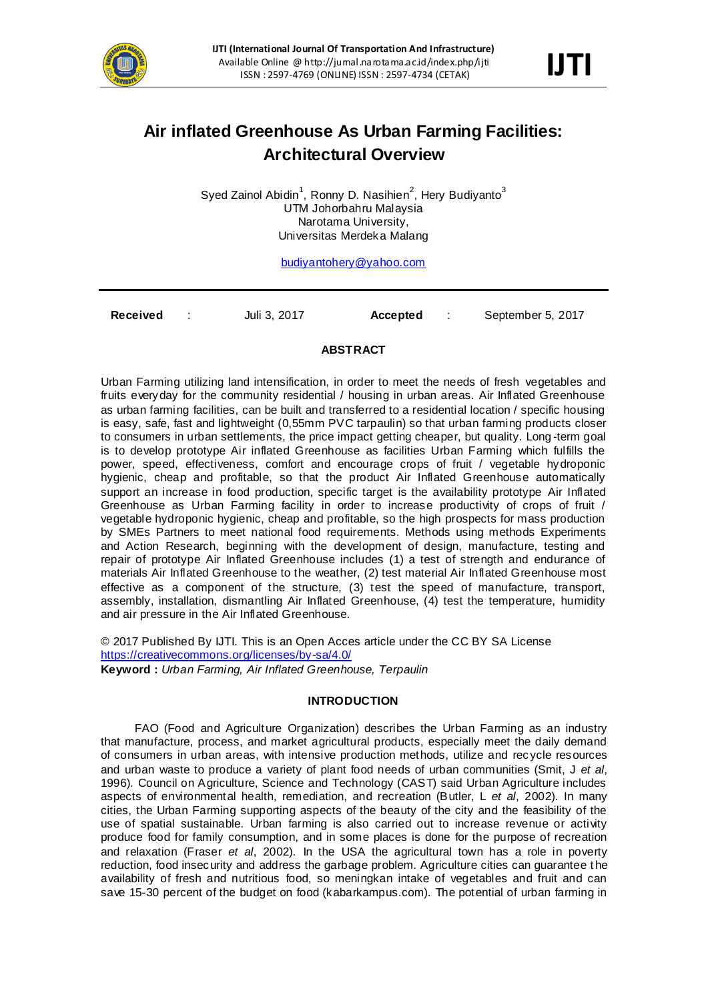

# **Air inflated Greenhouse As Urban Farming Facilities: Architectural Overview**

Syed Zainol Abidin<sup>1</sup>, Ronny D. Nasihien<sup>2</sup>, Hery Budiyanto<sup>3</sup> UTM Johorbahru Malaysia Narotama University, Universitas Merdeka Malang

[budiyantohery@yahoo.com](mailto:budiyantohery@yahoo.com)

**Received** : Juli 3, 2017 **Accepted** : September 5, 2017

#### **ABSTRACT**

Urban Farming utilizing land intensification, in order to meet the needs of fresh vegetables and fruits everyday for the community residential / housing in urban areas. Air Inflated Greenhouse as urban farming facilities, can be built and transferred to a residential location / specific housing is easy, safe, fast and lightweight (0,55mm PVC tarpaulin) so that urban farming products closer to consumers in urban settlements, the price impact getting cheaper, but quality. Long -term goal is to develop prototype Air inflated Greenhouse as facilities Urban Farming which fulfills the power, speed, effectiveness, comfort and encourage crops of fruit / vegetable hydroponic hygienic, cheap and profitable, so that the product Air Inflated Greenhouse automatically support an increase in food production, specific target is the availability prototype Air Inflated Greenhouse as Urban Farming facility in order to increase productivity of crops of fruit / vegetable hydroponic hygienic, cheap and profitable, so the high prospects for mass production by SMEs Partners to meet national food requirements. Methods using methods Experiments and Action Research, beginning with the development of design, manufacture, testing and repair of prototype Air Inflated Greenhouse includes (1) a test of strength and endurance of materials Air Inflated Greenhouse to the weather, (2) test material Air Inflated Greenhouse most effective as a component of the structure, (3) test the speed of manufacture, transport, assembly, installation, dismantling Air Inflated Greenhouse, (4) test the temperature, humidity and air pressure in the Air Inflated Greenhouse.

© 2017 Published By IJTI. This is an Open Acces article under the CC BY SA License <https://creativecommons.org/licenses/by-sa/4.0/> **Keyword :** *Urban Farming, Air Inflated Greenhouse, Terpaulin*

## **INTRODUCTION**

FAO (Food and Agriculture Organization) describes the Urban Farming as an industry that manufacture, process, and market agricultural products, especially meet the daily demand of consumers in urban areas, with intensive production methods, utilize and rec ycle resources and urban waste to produce a variety of plant food needs of urban communities (Smit, J *et al*, 1996). Council on Agriculture, Science and Technology (CAST) said Urban Agriculture includes aspects of environmental health, remediation, and recreation (Butler, L *et al*, 2002). In many cities, the Urban Farming supporting aspects of the beauty of the city and the feasibility of the use of spatial sustainable. Urban farming is also carried out to increase revenue or activity produce food for family consumption, and in some places is done for the purpose of recreation and relaxation (Fraser *et al*, 2002). In the USA the agricultural town has a role in poverty reduction, food insecurity and address the garbage problem. Agriculture cities can guarantee t he availability of fresh and nutritious food, so meningkan intake of vegetables and fruit and can save 15-30 percent of the budget on food (kabarkampus.com). The potential of urban farming in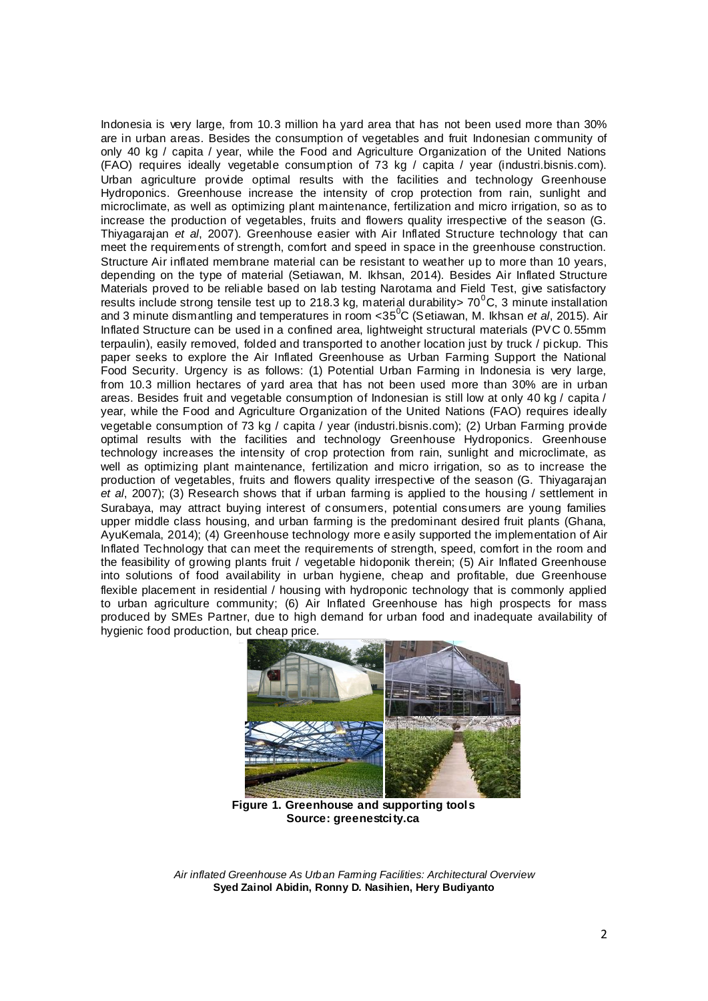Indonesia is very large, from 10.3 million ha yard area that has not been used more than 30% are in urban areas. Besides the consumption of vegetables and fruit Indonesian community of only 40 kg / capita / year, while the Food and Agriculture Organization of the United Nations (FAO) requires ideally vegetable consumption of 73 kg / capita / year (industri.bisnis.com). Urban agriculture provide optimal results with the facilities and technology Greenhouse Hydroponics. Greenhouse increase the intensity of crop protection from rain, sunlight and microclimate, as well as optimizing plant maintenance, fertilization and micro irrigation, so as to increase the production of vegetables, fruits and flowers quality irrespective of the season (G. Thiyagarajan *et al*, 2007). Greenhouse easier with Air Inflated Structure technology that can meet the requirements of strength, comfort and speed in space in the greenhouse construction. Structure Air inflated membrane material can be resistant to weather up to more than 10 years, depending on the type of material (Setiawan, M. Ikhsan, 2014). Besides Air Inflated Structure Materials proved to be reliable based on lab testing Narotama and Field Test, give satisfactory results include strong tensile test up to 218.3 kg, material durability >  $70^{\circ}$ C, 3 minute installation and 3 minute dismantling and temperatures in room <35<sup>0</sup> C (Setiawan, M. Ikhsan *et al*, 2015). Air Inflated Structure can be used in a confined area, lightweight structural materials (PVC 0.55mm terpaulin), easily removed, folded and transported to another location just by truck / pickup. This paper seeks to explore the Air Inflated Greenhouse as Urban Farming Support the National Food Security. Urgency is as follows: (1) Potential Urban Farming in Indonesia is very large, from 10.3 million hectares of yard area that has not been used more than 30% are in urban areas. Besides fruit and vegetable consumption of Indonesian is still low at only 40 kg / capita / year, while the Food and Agriculture Organization of the United Nations (FAO) requires ideally vegetable consumption of 73 kg / capita / year (industri.bisnis.com); (2) Urban Farming provide optimal results with the facilities and technology Greenhouse Hydroponics. Greenhouse technology increases the intensity of crop protection from rain, sunlight and microclimate, as well as optimizing plant maintenance, fertilization and micro irrigation, so as to increase the production of vegetables, fruits and flowers quality irrespective of the season (G. Thiyagarajan *et al*, 2007); (3) Research shows that if urban farming is applied to the housing / settlement in Surabaya, may attract buying interest of consumers, potential consumers are young families upper middle class housing, and urban farming is the predominant desired fruit plants (Ghana, AyuKemala, 2014); (4) Greenhouse technology more easily supported the implementation of Air Inflated Technology that can meet the requirements of strength, speed, comfort in the room and the feasibility of growing plants fruit / vegetable hidoponik therein; (5) Air Inflated Greenhouse into solutions of food availability in urban hygiene, cheap and profitable, due Greenhouse flexible placement in residential / housing with hydroponic technology that is commonly applied to urban agriculture community; (6) Air Inflated Greenhouse has high prospects for mass produced by SMEs Partner, due to high demand for urban food and inadequate availability of hygienic food production, but cheap price.



**Figure 1. Greenhouse and supporting tools Source: greenestcity.ca**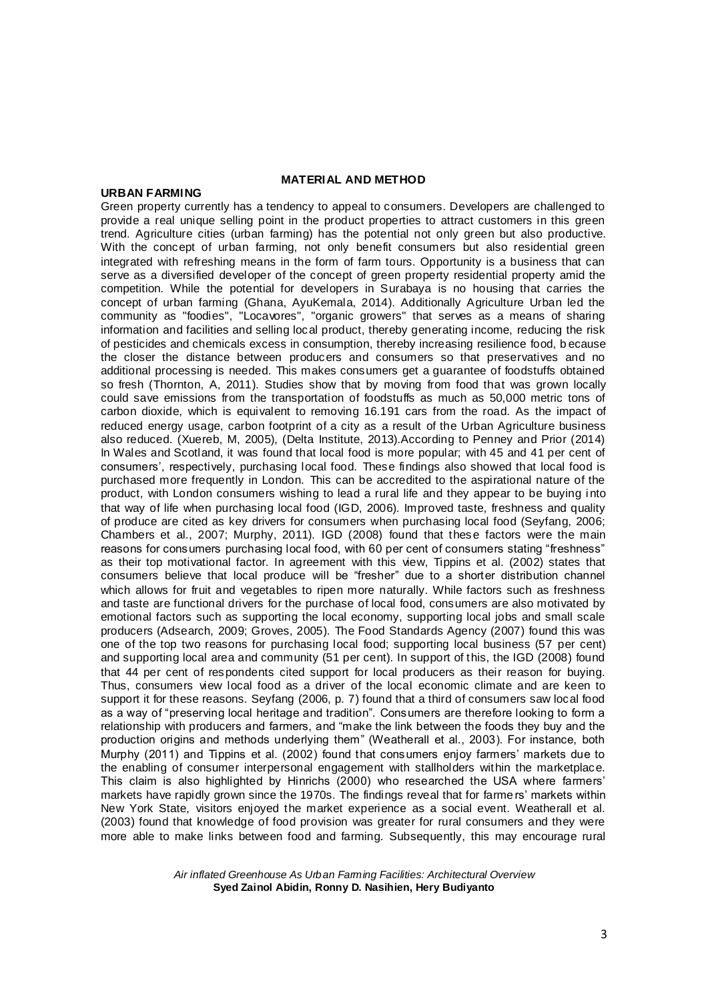## **MATERIAL AND METHOD**

#### **URBAN FARMING**

Green property currently has a tendency to appeal to consumers. Developers are challenged to provide a real unique selling point in the product properties to attract customers in this green trend. Agriculture cities (urban farming) has the potential not only green but also productive. With the concept of urban farming, not only benefit consumers but also residential green integrated with refreshing means in the form of farm tours. Opportunity is a business that can serve as a diversified developer of the concept of green property residential property amid the competition. While the potential for developers in Surabaya is no housing that carries the concept of urban farming (Ghana, AyuKemala, 2014). Additionally Agriculture Urban led the community as "foodies", "Locavores", "organic growers" that serves as a means of sharing information and facilities and selling local product, thereby generating income, reducing the risk of pesticides and chemicals excess in consumption, thereby increasing resilience food, b ecause the closer the distance between producers and consumers so that preservatives and no additional processing is needed. This makes consumers get a guarantee of foodstuffs obtained so fresh (Thornton, A, 2011). Studies show that by moving from food that was grown locally could save emissions from the transportation of foodstuffs as much as 50,000 metric tons of carbon dioxide, which is equivalent to removing 16.191 cars from the road. As the impact of reduced energy usage, carbon footprint of a city as a result of the Urban Agriculture business also reduced. (Xuereb, M, 2005), (Delta Institute, 2013).According to Penney and Prior (2014) In Wales and Scotland, it was found that local food is more popular; with 45 and 41 per cent of consumers', respectively, purchasing local food. These findings also showed that local food is purchased more frequently in London. This can be accredited to the aspirational nature of the product, with London consumers wishing to lead a rural life and they appear to be buying into that way of life when purchasing local food (IGD, 2006). Improved taste, freshness and quality of produce are cited as key drivers for consumers when purchasing local food (Seyfang, 2006; Chambers et al., 2007; Murphy, 2011). IGD (2008) found that these factors were the main reasons for consumers purchasing local food, with 60 per cent of consumers stating "freshness" as their top motivational factor. In agreement with this view, Tippins et al. (2002) states that consumers believe that local produce will be "fresher" due to a shorter distribution channel which allows for fruit and vegetables to ripen more naturally. While factors such as freshness and taste are functional drivers for the purchase of local food, consumers are also motivated by emotional factors such as supporting the local economy, supporting local jobs and small scale producers (Adsearch, 2009; Groves, 2005). The Food Standards Agency (2007) found this was one of the top two reasons for purchasing local food; supporting local business (57 per cent) and supporting local area and community (51 per cent). In support of this, the IGD (2008) found that 44 per cent of respondents cited support for local producers as their reason for buying. Thus, consumers view local food as a driver of the local economic climate and are keen to support it for these reasons. Seyfang (2006, p. 7) found that a third of consumers saw local food as a way of "preserving local heritage and tradition". Consumers are therefore looking to form a relationship with producers and farmers, and "make the link between the foods they buy and the production origins and methods underlying them" (Weatherall et al., 2003). For instance, both Murphy (2011) and Tippins et al. (2002) found that consumers enjoy farmers' markets due to the enabling of consumer interpersonal engagement with stallholders within the marketplace. This claim is also highlighted by Hinrichs (2000) who researched the USA where farmers' markets have rapidly grown since the 1970s. The findings reveal that for farme rs' markets within New York State, visitors enjoyed the market experience as a social event. Weatherall et al. (2003) found that knowledge of food provision was greater for rural consumers and they were more able to make links between food and farming. Subsequently, this may encourage rural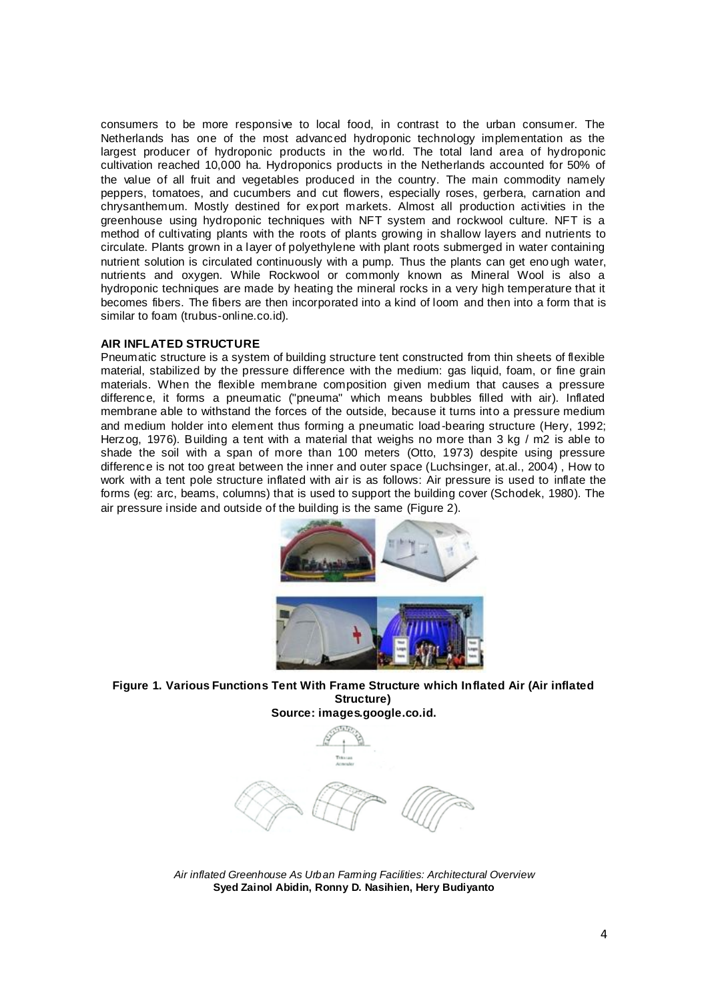consumers to be more responsive to local food, in contrast to the urban consumer. The Netherlands has one of the most advanced hydroponic technology implementation as the largest producer of hydroponic products in the world. The total land area of hydroponic cultivation reached 10,000 ha. Hydroponics products in the Netherlands accounted for 50% of the value of all fruit and vegetables produced in the country. The main commodity namely peppers, tomatoes, and cucumbers and cut flowers, especially roses, gerbera, carnation and chrysanthemum. Mostly destined for export markets. Almost all production activities in the greenhouse using hydroponic techniques with NFT system and rockwool culture. NFT is a method of cultivating plants with the roots of plants growing in shallow layers and nutrients to circulate. Plants grown in a layer of polyethylene with plant roots submerged in water containing nutrient solution is circulated continuously with a pump. Thus the plants can get eno ugh water, nutrients and oxygen. While Rockwool or commonly known as Mineral Wool is also a hydroponic techniques are made by heating the mineral rocks in a very high temperature that it becomes fibers. The fibers are then incorporated into a kind of loom and then into a form that is similar to foam (trubus-online.co.id).

## **AIR INFLATED STRUCTURE**

Pneumatic structure is a system of building structure tent constructed from thin sheets of flexible material, stabilized by the pressure difference with the medium: gas liquid, foam, or fine grain materials. When the flexible membrane composition given medium that causes a pressure difference, it forms a pneumatic ("pneuma" which means bubbles filled with air). Inflated membrane able to withstand the forces of the outside, because it turns into a pressure medium and medium holder into element thus forming a pneumatic load-bearing structure (Hery, 1992; Herzog, 1976). Building a tent with a material that weighs no more than 3 kg / m2 is able to shade the soil with a span of more than 100 meters (Otto, 1973) despite using pressure difference is not too great between the inner and outer space (Luchsinger, at.al., 2004) , How to work with a tent pole structure inflated with air is as follows: Air pressure is used to inflate the forms (eg: arc, beams, columns) that is used to support the building cover (Schodek, 1980). The air pressure inside and outside of the building is the same (Figure 2).



**Figure 1. Various Functions Tent With Frame Structure which Inflated Air (Air inflated Structure) Source: images.google.co.id.**



*Air inflated Greenhouse As Urban Farming Facilities: Architectural Overview* **Syed Zainol Abidin, Ronny D. Nasihien, Hery Budiyanto**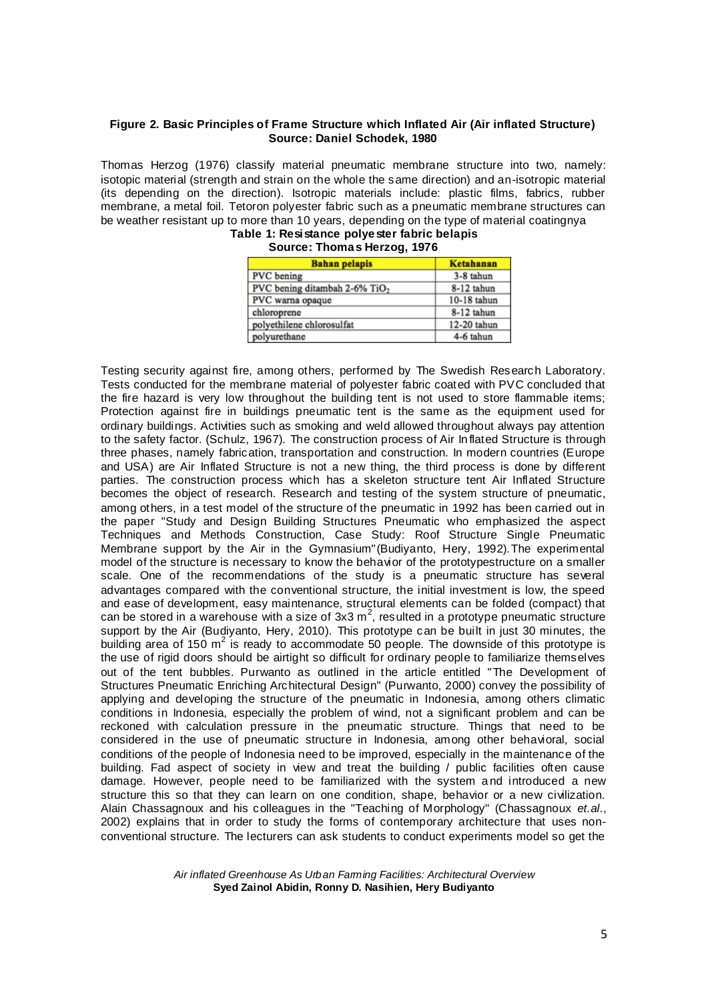## **Figure 2. Basic Principles of Frame Structure which Inflated Air (Air inflated Structure) Source: Daniel Schodek, 1980**

Thomas Herzog (1976) classify material pneumatic membrane structure into two, namely: isotopic material (strength and strain on the whole the same direction) and an-isotropic material (its depending on the direction). Isotropic materials include: plastic films, fabrics, rubber membrane, a metal foil. Tetoron polyester fabric such as a pneumatic membrane structures can be weather resistant up to more than 10 years, depending on the type of material coatingnya **Table 1: Resistance polyester fabric belapis**

| <b>Bahan pelapis</b>                      | <b>Ketahanan</b> |  |  |
|-------------------------------------------|------------------|--|--|
| <b>PVC</b> bening                         | 3-8 tahun        |  |  |
| PVC bening ditambah 2-6% TiO <sub>2</sub> | 8-12 tahun       |  |  |
| PVC warna opaque                          | 10-18 tahun      |  |  |
| chloroprene                               | 8-12 tahun       |  |  |
| polyethilene chlorosulfat                 | 12-20 tahun      |  |  |
| polyurethane                              | 4-6 tahun        |  |  |

|  |  | Source: Thomas Herzog, 1976 |
|--|--|-----------------------------|

Testing security against fire, among others, performed by The Swedish Research Laboratory. Tests conducted for the membrane material of polyester fabric coated with PVC concluded that the fire hazard is very low throughout the building tent is not used to store flammable items; Protection against fire in buildings pneumatic tent is the same as the equipment used for ordinary buildings. Activities such as smoking and weld allowed throughout always pay attention to the safety factor. (Schulz, 1967). The construction process of Air In flated Structure is through three phases, namely fabrication, transportation and construction. In modern countries (Europe and USA) are Air Inflated Structure is not a new thing, the third process is done by different parties. The construction process which has a skeleton structure tent Air Inflated Structure becomes the object of research. Research and testing of the system structure of pneumatic, among others, in a test model of the structure of the pneumatic in 1992 has been carried out in the paper "Study and Design Building Structures Pneumatic who emphasized the aspect Techniques and Methods Construction, Case Study: Roof Structure Single Pneumatic Membrane support by the Air in the Gymnasium"(Budiyanto, Hery, 1992).The experimental model of the structure is necessary to know the behavior of the prototypestructure on a smaller scale. One of the recommendations of the study is a pneumatic structure has several advantages compared with the conventional structure, the initial investment is low, the speed and ease of development, easy maintenance, structural elements can be folded (compact) that can be stored in a warehouse with a size of 3x3 m<sup>2</sup>, resulted in a prototype pneumatic structure support by the Air (Budiyanto, Hery, 2010). This prototype can be built in just 30 minutes, the building area of 150  $m^2$  is ready to accommodate 50 people. The downside of this prototype is the use of rigid doors should be airtight so difficult for ordinary people to familiarize themselves out of the tent bubbles. Purwanto as outlined in the article entitled "The Development of Structures Pneumatic Enriching Architectural Design" (Purwanto, 2000) convey the possibility of applying and developing the structure of the pneumatic in Indonesia, among others climatic conditions in Indonesia, especially the problem of wind, not a significant problem and can be reckoned with calculation pressure in the pneumatic structure. Things that need to be considered in the use of pneumatic structure in Indonesia, among other behavioral, social conditions of the people of Indonesia need to be improved, especially in the maintenance of the building. Fad aspect of society in view and treat the building / public facilities often cause damage. However, people need to be familiarized with the system a nd introduced a new structure this so that they can learn on one condition, shape, behavior or a new civilization. Alain Chassagnoux and his colleagues in the "Teaching of Morphology" (Chassagnoux *et.al*., 2002) explains that in order to study the forms of contemporary architecture that uses nonconventional structure. The lecturers can ask students to conduct experiments model so get the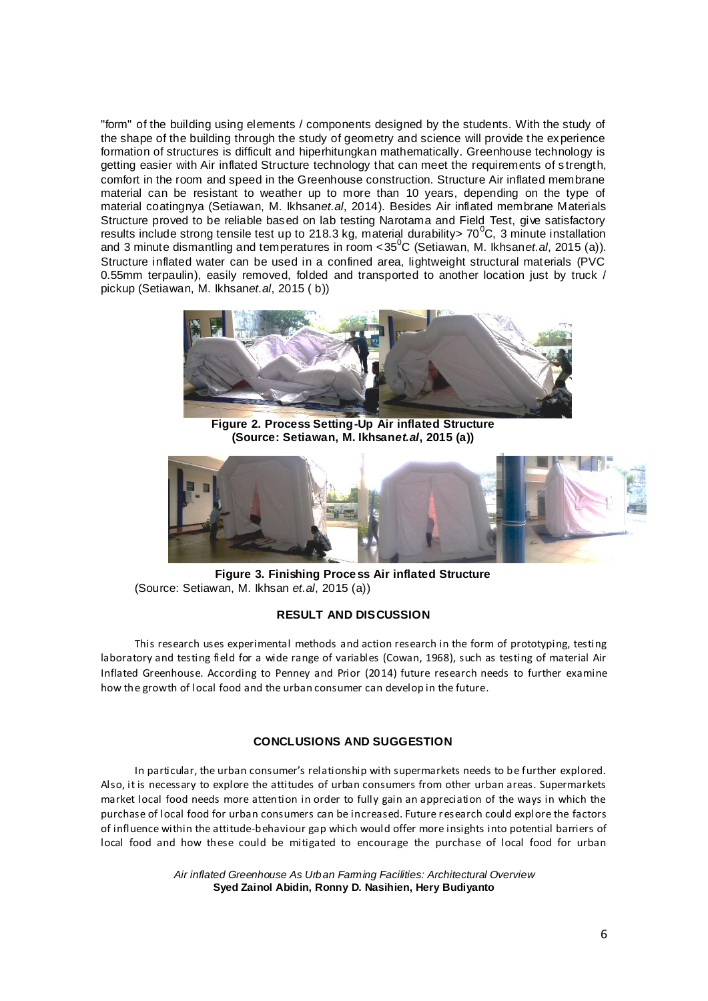"form" of the building using elements / components designed by the students. With the study of the shape of the building through the study of geometry and science will provide the experience formation of structures is difficult and hiperhitungkan mathematically. Greenhouse technology is getting easier with Air inflated Structure technology that can meet the requirements of s trength, comfort in the room and speed in the Greenhouse construction. Structure Air inflated membrane material can be resistant to weather up to more than 10 years, depending on the type of material coatingnya (Setiawan, M. Ikhsan*et.al*, 2014). Besides Air inflated membrane Materials Structure proved to be reliable based on lab testing Narotama and Field Test, give satisfactory results include strong tensile test up to 218.3 kg, material durability> 70<sup>°</sup>C, 3 minute installation and 3 minute dismantling and temperatures in room <35<sup>0</sup>C (Setiawan, M. Ikhsan*et.al*, 2015 (a)). Structure inflated water can be used in a confined area, lightweight structural materials (PVC 0.55mm terpaulin), easily removed, folded and transported to another location just by truck / pickup (Setiawan, M. Ikhsan*et.al*, 2015 ( b))



**Figure 2. Process Setting-Up Air inflated Structure (Source: Setiawan, M. Ikhsan***et.al***, 2015 (a))**



**Figure 3. Finishing Process Air inflated Structure** (Source: Setiawan, M. Ikhsan *et.al*, 2015 (a))

## **RESULT AND DISCUSSION**

This research uses experimental methods and action research in the form of prototyping, testing laboratory and testing field for a wide range of variables (Cowan, 1968), such as testing of material Air Inflated Greenhouse. According to Penney and Prior (2014) future research needs to further examine how the growth of local food and the urban consumer can develop in the future.

## **CONCLUSIONS AND SUGGESTION**

In particular, the urban consumer's relationship with supermarkets needs to be further explored. Also, it is necessary to explore the attitudes of urban consumers from other urban areas. Supermarkets market local food needs more attention in order to fully gain an appreciation of the ways in which the purchase of local food for urban consumers can be increased. Future research could explore the factors of influence within the attitude-behaviour gap which would offer more insights into potential barriers of local food and how these could be mitigated to encourage the purchase of local food for urban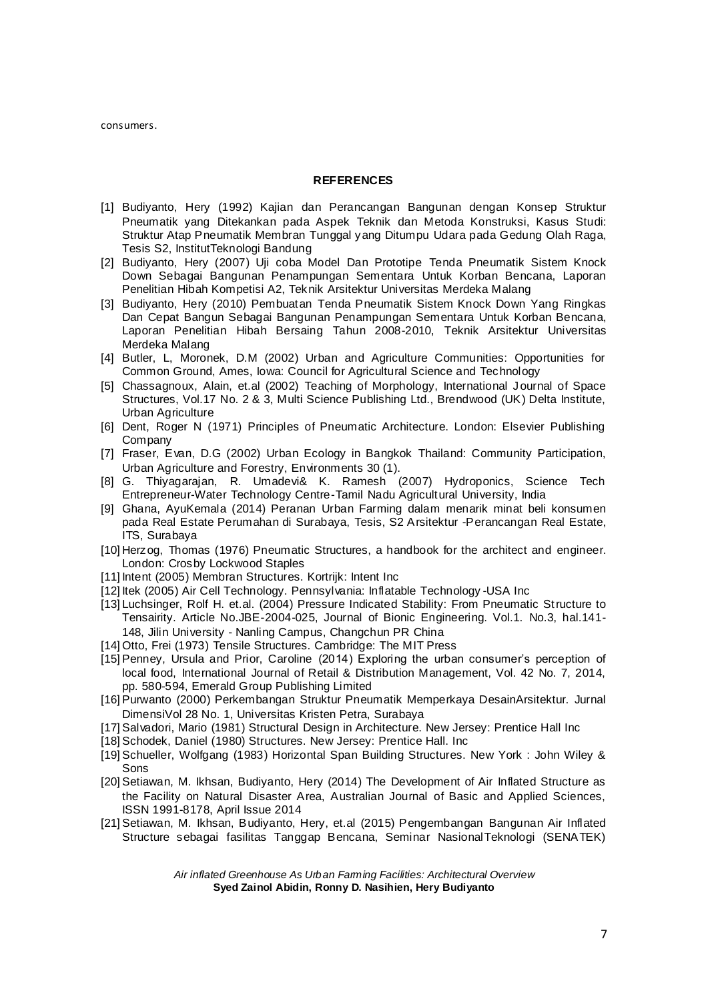consumers.

#### **REFERENCES**

- [1] Budiyanto, Hery (1992) Kajian dan Perancangan Bangunan dengan Konsep Struktur Pneumatik yang Ditekankan pada Aspek Teknik dan Metoda Konstruksi, Kasus Studi: Struktur Atap Pneumatik Membran Tunggal yang Ditumpu Udara pada Gedung Olah Raga, Tesis S2, InstitutTeknologi Bandung
- [2] Budiyanto, Hery (2007) Uji coba Model Dan Prototipe Tenda Pneumatik Sistem Knock Down Sebagai Bangunan Penampungan Sementara Untuk Korban Bencana, Laporan Penelitian Hibah Kompetisi A2, Teknik Arsitektur Universitas Merdeka Malang
- [3] Budiyanto, Hery (2010) Pembuatan Tenda Pneumatik Sistem Knock Down Yang Ringkas Dan Cepat Bangun Sebagai Bangunan Penampungan Sementara Untuk Korban Bencana, Laporan Penelitian Hibah Bersaing Tahun 2008-2010, Teknik Arsitektur Universitas Merdeka Malang
- [4] Butler, L, Moronek, D.M (2002) Urban and Agriculture Communities: Opportunities for Common Ground, Ames, Iowa: Council for Agricultural Science and Technology
- [5] Chassagnoux, Alain, et.al (2002) Teaching of Morphology, International Journal of Space Structures, Vol.17 No. 2 & 3, Multi Science Publishing Ltd., Brendwood (UK) Delta Institute, Urban Agriculture
- [6] Dent, Roger N (1971) Principles of Pneumatic Architecture. London: Elsevier Publishing **Company**
- [7] Fraser, Evan, D.G (2002) Urban Ecology in Bangkok Thailand: Community Participation, Urban Agriculture and Forestry, Environments 30 (1).
- [8] G. Thiyagarajan, R. Umadevi& K. Ramesh (2007) Hydroponics, Science Tech Entrepreneur-Water Technology Centre-Tamil Nadu Agricultural University, India
- [9] Ghana, AyuKemala (2014) Peranan Urban Farming dalam menarik minat beli konsumen pada Real Estate Perumahan di Surabaya, Tesis, S2 Arsitektur -Perancangan Real Estate, ITS, Surabaya
- [10] Herzog, Thomas (1976) Pneumatic Structures, a handbook for the architect and engineer. London: Crosby Lockwood Staples
- [11] Intent (2005) Membran Structures. Kortrijk: Intent Inc
- [12] Itek (2005) Air Cell Technology. Pennsylvania: Inflatable Technology -USA Inc
- [13] Luchsinger, Rolf H. et.al. (2004) Pressure Indicated Stability: From Pneumatic Structure to Tensairity. Article No.JBE-2004-025, Journal of Bionic Engineering. Vol.1. No.3, hal.141- 148, Jilin University - Nanling Campus, Changchun PR China
- [14] Otto, Frei (1973) Tensile Structures. Cambridge: The MIT Press
- [15] Penney, Ursula and Prior, Caroline (2014) Exploring the urban consumer's perception of local food, International Journal of Retail & Distribution Management, Vol. 42 No. 7, 2014, pp. 580-594, Emerald Group Publishing Limited
- [16] Purwanto (2000) Perkembangan Struktur Pneumatik Memperkaya DesainArsitektur. Jurnal DimensiVol 28 No. 1, Universitas Kristen Petra, Surabaya
- [17] Salvadori, Mario (1981) Structural Design in Architecture. New Jersey: Prentice Hall Inc
- [18] Schodek, Daniel (1980) Structures. New Jersey: Prentice Hall. Inc
- [19] Schueller, Wolfgang (1983) Horizontal Span Building Structures. New York : John Wiley & Sons
- [20] Setiawan, M. Ikhsan, Budiyanto, Hery (2014) The Development of Air Inflated Structure as the Facility on Natural Disaster Area, Australian Journal of Basic and Applied Sciences, ISSN 1991-8178, April Issue 2014
- [21] Setiawan, M. Ikhsan, Budiyanto, Hery, et.al (2015) Pengembangan Bangunan Air Inflated Structure sebagai fasilitas Tanggap Bencana, Seminar NasionalTeknologi (SENATEK)